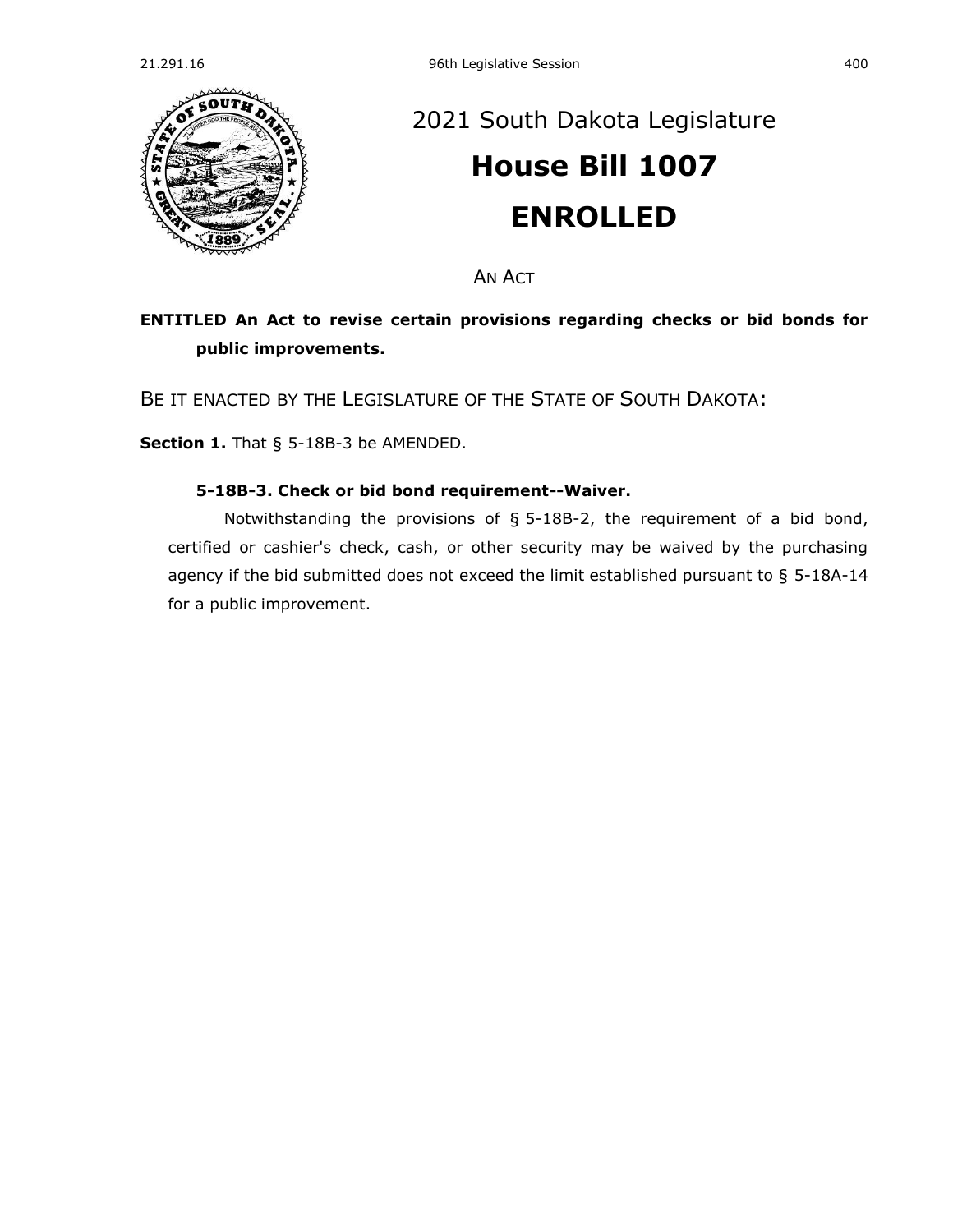

## [2021 South Dakota Legislature](https://sdlegislature.gov/Session/Bills/44) **[House Bill 1007](https://sdlegislature.gov/Session/Bill/22011) ENROLLED**

AN ACT

## **ENTITLED An Act to revise certain provisions regarding checks or bid bonds for public improvements.**

BE IT ENACTED BY THE LEGISLATURE OF THE STATE OF SOUTH DAKOTA:

**Section 1.** [That § 5-18B-3 be AMENDED.](https://sdlegislature.gov/Statutes/Codified_Laws/DisplayStatute.aspx?Type=Statute&Statute=5-18B-3)

## **[5-18B-3. C](https://sdlegislature.gov/Statutes/Codified_Laws/DisplayStatute.aspx?Type=Statute&Statute=5-18B-3)heck or bid bond requirement--Waiver.**

Notwithstanding the provisions of § [5-18B-2,](https://sdlegislature.gov/Statutes/Codified_Laws/DisplayStatute.aspx?Type=Statute&Statute=5-18B-2) the requirement of a bid bond, certified or cashier's check, cash, or other security may be waived by the purchasing agency if the bid submitted does not exceed the limit established pursuant to § [5-18A-14](https://sdlegislature.gov/Statutes/Codified_Laws/DisplayStatute.aspx?Type=Statute&Statute=5-18A-14) for a public improvement.